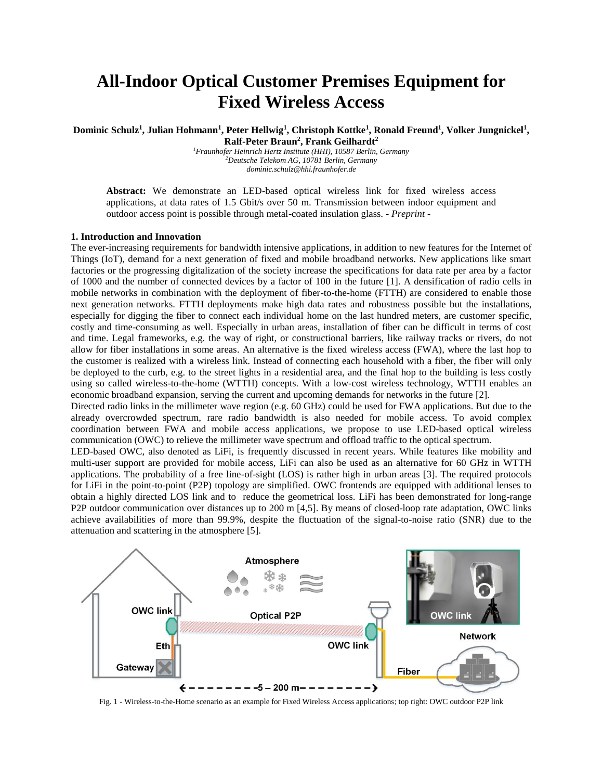# **All-Indoor Optical Customer Premises Equipment for Fixed Wireless Access**

**Dominic Schulz<sup>1</sup> , Julian Hohmann<sup>1</sup> , Peter Hellwig<sup>1</sup> , Christoph Kottke<sup>1</sup> , Ronald Freund<sup>1</sup> , Volker Jungnickel<sup>1</sup> , Ralf-Peter Braun<sup>2</sup> , Frank Geilhardt<sup>2</sup>**

*<sup>1</sup>Fraunhofer Heinrich Hertz Institute (HHI), 10587 Berlin, Germany <sup>2</sup>Deutsche Telekom AG, 10781 Berlin, Germany dominic.schulz@hhi.fraunhofer.de*

**Abstract:** We demonstrate an LED-based optical wireless link for fixed wireless access applications, at data rates of 1.5 Gbit/s over 50 m. Transmission between indoor equipment and outdoor access point is possible through metal-coated insulation glass. - *Preprint -*

### **1. Introduction and Innovation**

The ever-increasing requirements for bandwidth intensive applications, in addition to new features for the Internet of Things (IoT), demand for a next generation of fixed and mobile broadband networks. New applications like smart factories or the progressing digitalization of the society increase the specifications for data rate per area by a factor of 1000 and the number of connected devices by a factor of 100 in the future [1]. A densification of radio cells in mobile networks in combination with the deployment of fiber-to-the-home (FTTH) are considered to enable those next generation networks. FTTH deployments make high data rates and robustness possible but the installations, especially for digging the fiber to connect each individual home on the last hundred meters, are customer specific, costly and time-consuming as well. Especially in urban areas, installation of fiber can be difficult in terms of cost and time. Legal frameworks, e.g. the way of right, or constructional barriers, like railway tracks or rivers, do not allow for fiber installations in some areas. An alternative is the fixed wireless access (FWA), where the last hop to the customer is realized with a wireless link. Instead of connecting each household with a fiber, the fiber will only be deployed to the curb, e.g. to the street lights in a residential area, and the final hop to the building is less costly using so called wireless-to-the-home (WTTH) concepts. With a low-cost wireless technology, WTTH enables an economic broadband expansion, serving the current and upcoming demands for networks in the future [2].

Directed radio links in the millimeter wave region (e.g. 60 GHz) could be used for FWA applications. But due to the already overcrowded spectrum, rare radio bandwidth is also needed for mobile access. To avoid complex coordination between FWA and mobile access applications, we propose to use LED-based optical wireless communication (OWC) to relieve the millimeter wave spectrum and offload traffic to the optical spectrum.

LED-based OWC, also denoted as LiFi, is frequently discussed in recent years. While features like mobility and multi-user support are provided for mobile access, LiFi can also be used as an alternative for 60 GHz in WTTH applications. The probability of a free line-of-sight (LOS) is rather high in urban areas [3]. The required protocols for LiFi in the point-to-point (P2P) topology are simplified. OWC frontends are equipped with additional lenses to obtain a highly directed LOS link and to reduce the geometrical loss. LiFi has been demonstrated for long-range P2P outdoor communication over distances up to 200 m [4,5]. By means of closed-loop rate adaptation, OWC links achieve availabilities of more than 99.9%, despite the fluctuation of the signal-to-noise ratio (SNR) due to the attenuation and scattering in the atmosphere [5].



Fig. 1 - Wireless-to-the-Home scenario as an example for Fixed Wireless Access applications; top right: OWC outdoor P2P link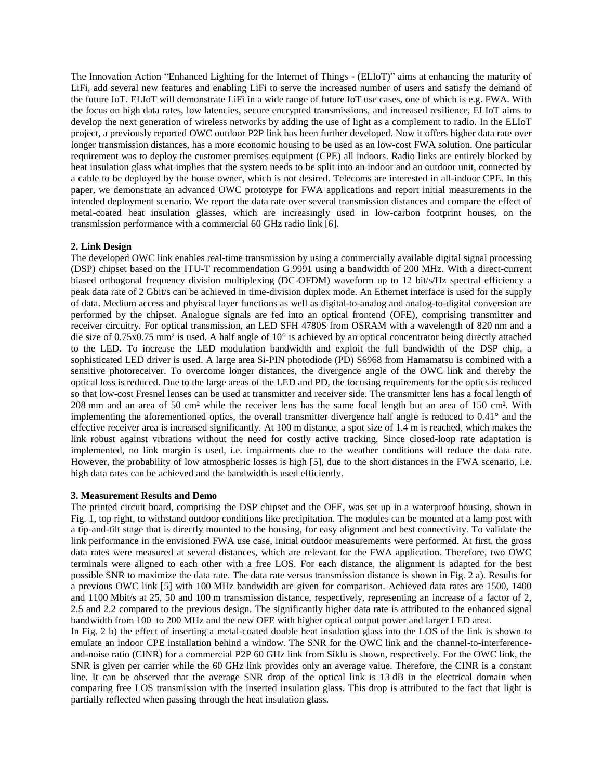The Innovation Action "Enhanced Lighting for the Internet of Things - (ELIoT)" aims at enhancing the maturity of LiFi, add several new features and enabling LiFi to serve the increased number of users and satisfy the demand of the future IoT. ELIoT will demonstrate LiFi in a wide range of future IoT use cases, one of which is e.g. FWA. With the focus on high data rates, low latencies, secure encrypted transmissions, and increased resilience, ELIoT aims to develop the next generation of wireless networks by adding the use of light as a complement to radio. In the ELIoT project, a previously reported OWC outdoor P2P link has been further developed. Now it offers higher data rate over longer transmission distances, has a more economic housing to be used as an low-cost FWA solution. One particular requirement was to deploy the customer premises equipment (CPE) all indoors. Radio links are entirely blocked by heat insulation glass what implies that the system needs to be split into an indoor and an outdoor unit, connected by a cable to be deployed by the house owner, which is not desired. Telecoms are interested in all-indoor CPE. In this paper, we demonstrate an advanced OWC prototype for FWA applications and report initial measurements in the intended deployment scenario. We report the data rate over several transmission distances and compare the effect of metal-coated heat insulation glasses, which are increasingly used in low-carbon footprint houses, on the transmission performance with a commercial 60 GHz radio link [6].

## **2. Link Design**

The developed OWC link enables real-time transmission by using a commercially available digital signal processing (DSP) chipset based on the ITU-T recommendation G.9991 using a bandwidth of 200 MHz. With a direct-current biased orthogonal frequency division multiplexing (DC-OFDM) waveform up to 12 bit/s/Hz spectral efficiency a peak data rate of 2 Gbit/s can be achieved in time-division duplex mode. An Ethernet interface is used for the supply of data. Medium access and phyiscal layer functions as well as digital-to-analog and analog-to-digital conversion are performed by the chipset. Analogue signals are fed into an optical frontend (OFE), comprising transmitter and receiver circuitry. For optical transmission, an LED SFH 4780S from OSRAM with a wavelength of 820 nm and a die size of 0.75x0.75 mm² is used. A half angle of 10° is achieved by an optical concentrator being directly attached to the LED. To increase the LED modulation bandwidth and exploit the full bandwidth of the DSP chip, a sophisticated LED driver is used. A large area Si-PIN photodiode (PD) S6968 from Hamamatsu is combined with a sensitive photoreceiver. To overcome longer distances, the divergence angle of the OWC link and thereby the optical loss is reduced. Due to the large areas of the LED and PD, the focusing requirements for the optics is reduced so that low-cost Fresnel lenses can be used at transmitter and receiver side. The transmitter lens has a focal length of 208 mm and an area of 50 cm² while the receiver lens has the same focal length but an area of 150 cm². With implementing the aforementioned optics, the overall transmitter divergence half angle is reduced to 0.41° and the effective receiver area is increased significantly. At 100 m distance, a spot size of 1.4 m is reached, which makes the link robust against vibrations without the need for costly active tracking. Since closed-loop rate adaptation is implemented, no link margin is used, i.e. impairments due to the weather conditions will reduce the data rate. However, the probability of low atmospheric losses is high [5], due to the short distances in the FWA scenario, i.e. high data rates can be achieved and the bandwidth is used efficiently.

## **3. Measurement Results and Demo**

The printed circuit board, comprising the DSP chipset and the OFE, was set up in a waterproof housing, shown in Fig. 1, top right, to withstand outdoor conditions like precipitation. The modules can be mounted at a lamp post with a tip-and-tilt stage that is directly mounted to the housing, for easy alignment and best connectivity. To validate the link performance in the envisioned FWA use case, initial outdoor measurements were performed. At first, the gross data rates were measured at several distances, which are relevant for the FWA application. Therefore, two OWC terminals were aligned to each other with a free LOS. For each distance, the alignment is adapted for the best possible SNR to maximize the data rate. The data rate versus transmission distance is shown in Fig. 2 a). Results for a previous OWC link [5] with 100 MHz bandwidth are given for comparison. Achieved data rates are 1500, 1400 and 1100 Mbit/s at 25, 50 and 100 m transmission distance, respectively, representing an increase of a factor of 2, 2.5 and 2.2 compared to the previous design. The significantly higher data rate is attributed to the enhanced signal bandwidth from 100 to 200 MHz and the new OFE with higher optical output power and larger LED area.

In Fig. 2 b) the effect of inserting a metal-coated double heat insulation glass into the LOS of the link is shown to emulate an indoor CPE installation behind a window. The SNR for the OWC link and the channel-to-interferenceand-noise ratio (CINR) for a commercial P2P 60 GHz link from Siklu is shown, respectively. For the OWC link, the SNR is given per carrier while the 60 GHz link provides only an average value. Therefore, the CINR is a constant line. It can be observed that the average SNR drop of the optical link is 13 dB in the electrical domain when comparing free LOS transmission with the inserted insulation glass. This drop is attributed to the fact that light is partially reflected when passing through the heat insulation glass.